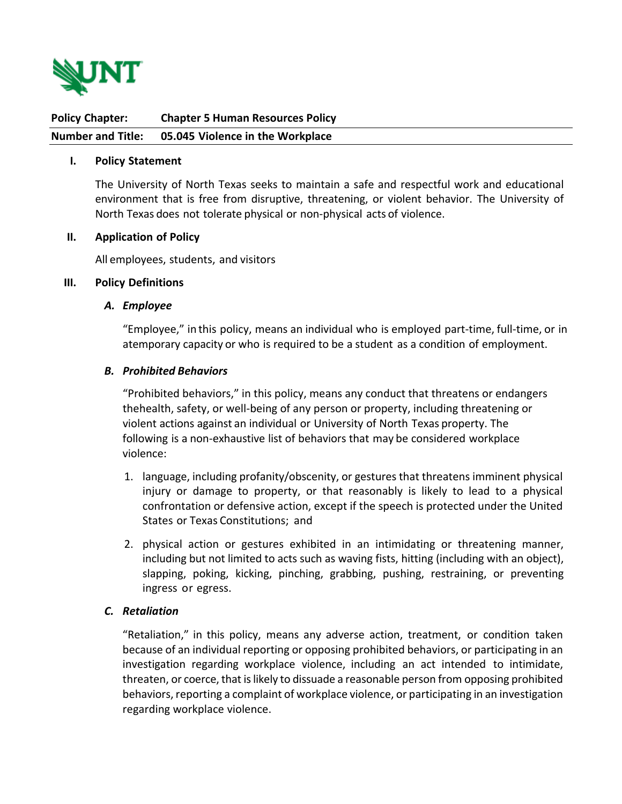

**Policy Chapter: Chapter 5 Human Resources Policy Number and Title: 05.045 Violence in the Workplace**

#### **I. Policy Statement**

The University of North Texas seeks to maintain a safe and respectful work and educational environment that is free from disruptive, threatening, or violent behavior. The University of North Texas does not tolerate physical or non-physical acts of violence.

#### **II. Application of Policy**

All employees, students, and visitors

#### **III. Policy Definitions**

#### *A. Employee*

"Employee," in this policy, means an individual who is employed part-time, full-time, or in a temporary capacity or who is required to be a student as a condition of employment.

#### *B. Prohibited Behaviors*

"Prohibited behaviors," in this policy, means any conduct that threatens or endangers the health, safety, or well-being of any person or property, including threatening or violent actions against an individual or University of North Texas property. The following is a non-exhaustive list of behaviors that may be considered workplace violence:

- 1. language, including profanity/obscenity, or gestures that threatens imminent physical injury or damage to property, or that reasonably is likely to lead to a physical confrontation or defensive action, except if the speech is protected under the United States or Texas Constitutions; and
- 2. physical action or gestures exhibited in an intimidating or threatening manner, including but not limited to acts such as waving fists, hitting (including with an object), slapping, poking, kicking, pinching, grabbing, pushing, restraining, or preventing ingress or egress.

### *C. Retaliation*

"Retaliation," in this policy, means any adverse action, treatment, or condition taken because of an individual reporting or opposing prohibited behaviors, or participating in an investigation regarding workplace violence, including an act intended to intimidate, threaten, or coerce, that is likely to dissuade a reasonable person from opposing prohibited behaviors, reporting a complaint of workplace violence, or participating in an investigation regarding workplace violence.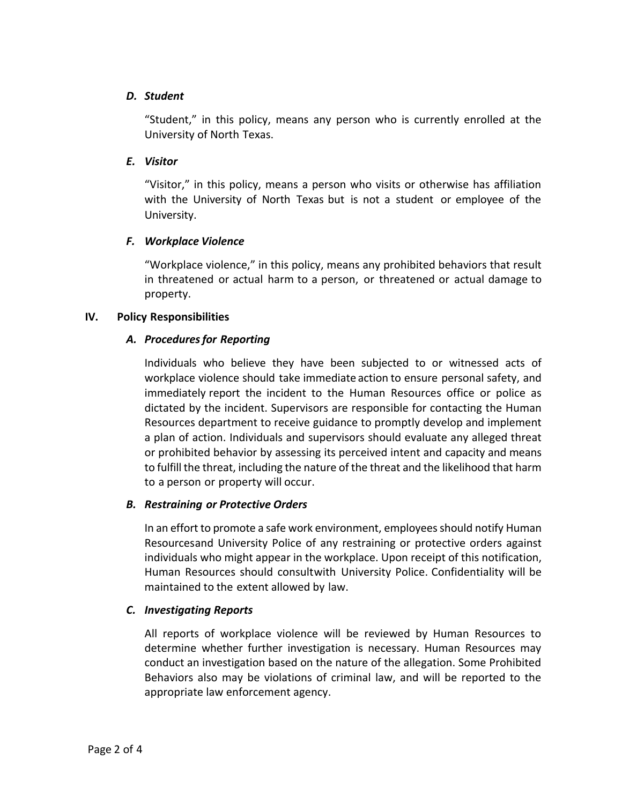### *D. Student*

"Student," in this policy, means any person who is currently enrolled at the University of North Texas.

## *E. Visitor*

"Visitor," in this policy, means a person who visits or otherwise has affiliation with the University of North Texas but is not a student or employee of the University.

# *F. Workplace Violence*

"Workplace violence," in this policy, means any prohibited behaviors that result in threatened or actual harm to a person, or threatened or actual damage to property.

### **IV. Policy Responsibilities**

# *A. Proceduresfor Reporting*

Individuals who believe they have been subjected to or witnessed acts of workplace violence should take immediate action to ensure personal safety, and immediately report the incident to the Human Resources office or police as dictated by the incident. Supervisors are responsible for contacting the Human Resources department to receive guidance to promptly develop and implement a plan of action. Individuals and supervisors should evaluate any alleged threat or prohibited behavior by assessing its perceived intent and capacity and means to fulfill the threat, including the nature of the threat and the likelihood that harm to a person or property will occur.

### *B. Restraining or Protective Orders*

In an effort to promote a safe work environment, employees should notify Human Resourcesand University Police of any restraining or protective orders against individuals who might appear in the workplace. Upon receipt of this notification, Human Resources should consultwith University Police. Confidentiality will be maintained to the extent allowed by law.

# *C. Investigating Reports*

All reports of workplace violence will be reviewed by Human Resources to determine whether further investigation is necessary. Human Resources may conduct an investigation based on the nature of the allegation. Some Prohibited Behaviors also may be violations of criminal law, and will be reported to the appropriate law enforcement agency.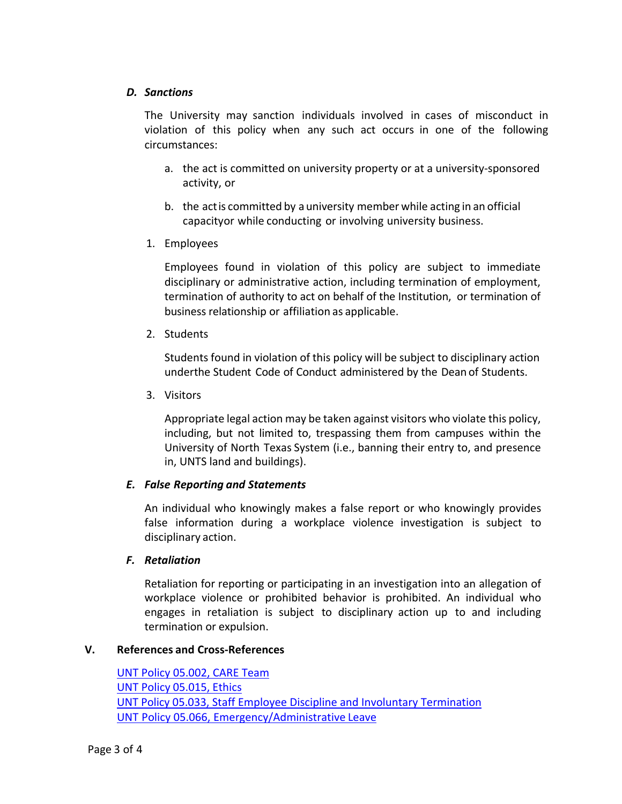### *D. Sanctions*

The University may sanction individuals involved in cases of misconduct in violation of this policy when any such act occurs in one of the following circumstances:

- a. the act is committed on university property or at a university-sponsored activity, or
- b. the actis committed by a university member while acting in an official capacityor while conducting or involving university business.
- 1. Employees

Employees found in violation of this policy are subject to immediate disciplinary or administrative action, including termination of employment, termination of authority to act on behalf of the Institution, or termination of business relationship or affiliation as applicable.

2. Students

Students found in violation of this policy will be subject to disciplinary action under the Student Code of Conduct administered by the Dean of Students.

3. Visitors

Appropriate legal action may be taken against visitors who violate this policy, including, but not limited to, trespassing them from campuses within the University of North Texas System (i.e., banning their entry to, and presence in, UNTS land and buildings).

# *E. False Reporting and Statements*

An individual who knowingly makes a false report or who knowingly provides false information during a workplace violence investigation is subject to disciplinary action.

# *F. Retaliation*

Retaliation for reporting or participating in an investigation into an allegation of workplace violence or prohibited behavior is prohibited. An individual who engages in retaliation is subject to disciplinary action up to and including termination or expulsion.

# **V. References and Cross-References**

[UNT Policy 05.002, CARE Team](https://policy.unt.edu/policy/05-002) UNT Policy [05.015, Ethics](https://policy.unt.edu/policy/05-015) [UNT Policy 05.033, Staff Employee Discipline and Involuntary Termination](https://policy.unt.edu/policy/05-033)  UNT Policy 05.066, [Emergency/Administrative](https://policy.unt.edu/policy/05-066) Leave